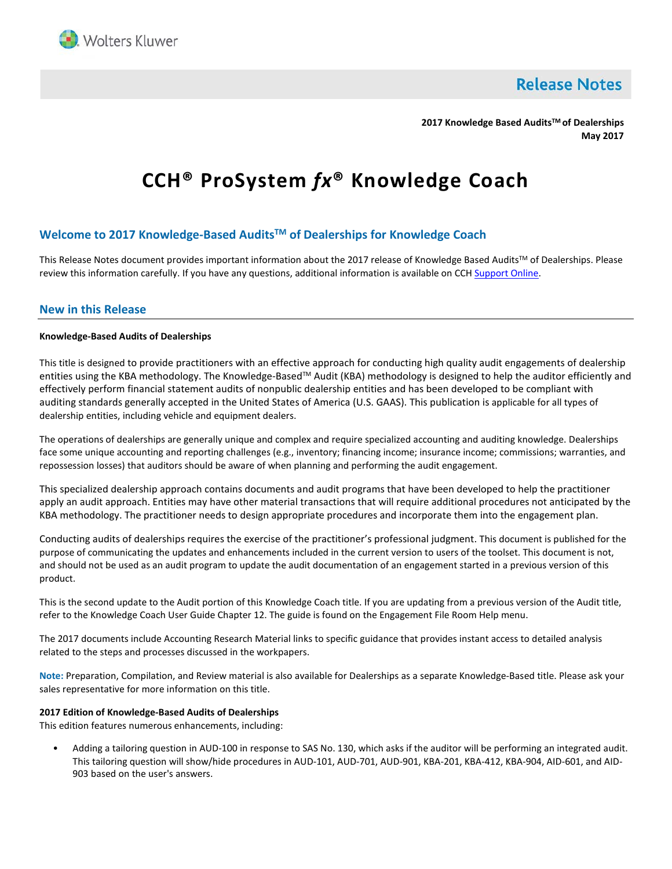

**Release Notes** 

**2017 Knowledge Based AuditsTM of Dealerships May 2017**

# **CCH® ProSystem** *fx***® Knowledge Coach**

# **Welcome to 2017 Knowledge-Based AuditsTM of Dealerships for Knowledge Coach**

This Release Notes document provides important information about the 2017 release of Knowledge Based Audits™ of Dealerships. Please review this information carefully. If you have any questions, additional information is available on CC[H Support Online.](http://support.cch.com/productsupport/)

## **New in this Release**

## **Knowledge-Based Audits of Dealerships**

This title is designed to provide practitioners with an effective approach for conducting high quality audit engagements of dealership entities using the KBA methodology. The Knowledge-Based™ Audit (KBA) methodology is designed to help the auditor efficiently and effectively perform financial statement audits of nonpublic dealership entities and has been developed to be compliant with auditing standards generally accepted in the United States of America (U.S. GAAS). This publication is applicable for all types of dealership entities, including vehicle and equipment dealers.

The operations of dealerships are generally unique and complex and require specialized accounting and auditing knowledge. Dealerships face some unique accounting and reporting challenges (e.g., inventory; financing income; insurance income; commissions; warranties, and repossession losses) that auditors should be aware of when planning and performing the audit engagement.

This specialized dealership approach contains documents and audit programs that have been developed to help the practitioner apply an audit approach. Entities may have other material transactions that will require additional procedures not anticipated by the KBA methodology. The practitioner needs to design appropriate procedures and incorporate them into the engagement plan.

Conducting audits of dealerships requires the exercise of the practitioner's professional judgment. This document is published for the purpose of communicating the updates and enhancements included in the current version to users of the toolset. This document is not, and should not be used as an audit program to update the audit documentation of an engagement started in a previous version of this product.

This is the second update to the Audit portion of this Knowledge Coach title. If you are updating from a previous version of the Audit title, refer to the Knowledge Coach User Guide Chapter 12. The guide is found on the Engagement File Room Help menu.

The 2017 documents include Accounting Research Material links to specific guidance that provides instant access to detailed analysis related to the steps and processes discussed in the workpapers.

**Note:** Preparation, Compilation, and Review material is also available for Dealerships as a separate Knowledge-Based title. Please ask your sales representative for more information on this title.

#### **2017 Edition of Knowledge-Based Audits of Dealerships**

This edition features numerous enhancements, including:

• Adding a tailoring question in AUD-100 in response to SAS No. 130, which asks if the auditor will be performing an integrated audit. This tailoring question will show/hide procedures in AUD-101, AUD-701, AUD-901, KBA-201, KBA-412, KBA-904, AID-601, and AID-903 based on the user's answers.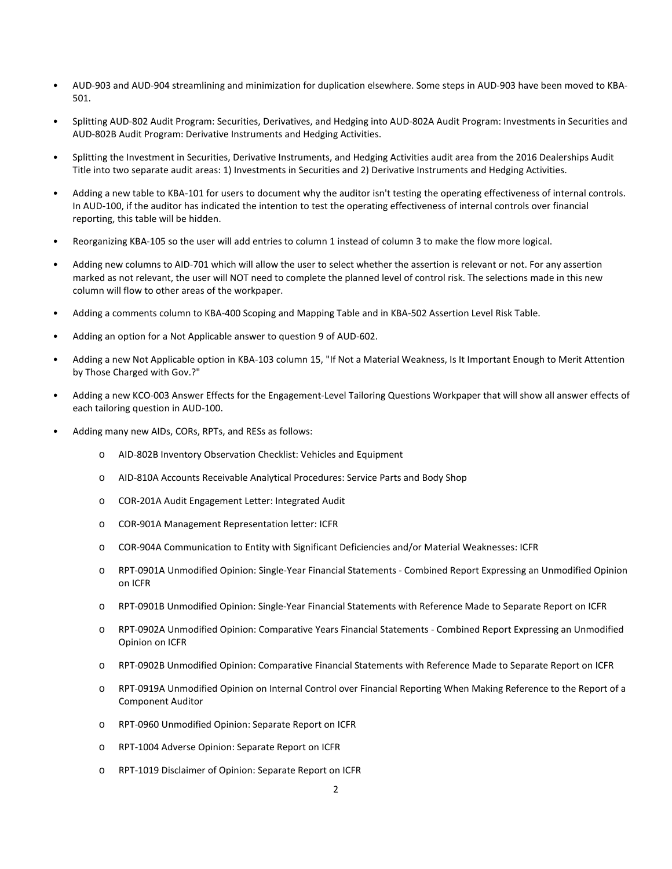- AUD-903 and AUD-904 streamlining and minimization for duplication elsewhere. Some steps in AUD-903 have been moved to KBA-501.
- Splitting AUD-802 Audit Program: Securities, Derivatives, and Hedging into AUD-802A Audit Program: Investments in Securities and AUD-802B Audit Program: Derivative Instruments and Hedging Activities.
- Splitting the Investment in Securities, Derivative Instruments, and Hedging Activities audit area from the 2016 Dealerships Audit Title into two separate audit areas: 1) Investments in Securities and 2) Derivative Instruments and Hedging Activities.
- Adding a new table to KBA-101 for users to document why the auditor isn't testing the operating effectiveness of internal controls. In AUD-100, if the auditor has indicated the intention to test the operating effectiveness of internal controls over financial reporting, this table will be hidden.
- Reorganizing KBA-105 so the user will add entries to column 1 instead of column 3 to make the flow more logical.
- Adding new columns to AID-701 which will allow the user to select whether the assertion is relevant or not. For any assertion marked as not relevant, the user will NOT need to complete the planned level of control risk. The selections made in this new column will flow to other areas of the workpaper.
- Adding a comments column to KBA-400 Scoping and Mapping Table and in KBA-502 Assertion Level Risk Table.
- Adding an option for a Not Applicable answer to question 9 of AUD-602.
- Adding a new Not Applicable option in KBA-103 column 15, "If Not a Material Weakness, Is It Important Enough to Merit Attention by Those Charged with Gov.?"
- Adding a new KCO-003 Answer Effects for the Engagement-Level Tailoring Questions Workpaper that will show all answer effects of each tailoring question in AUD-100.
- Adding many new AIDs, CORs, RPTs, and RESs as follows:
	- o AID-802B Inventory Observation Checklist: Vehicles and Equipment
	- o AID-810A Accounts Receivable Analytical Procedures: Service Parts and Body Shop
	- o COR-201A Audit Engagement Letter: Integrated Audit
	- o COR-901A Management Representation letter: ICFR
	- o COR-904A Communication to Entity with Significant Deficiencies and/or Material Weaknesses: ICFR
	- o RPT-0901A Unmodified Opinion: Single-Year Financial Statements Combined Report Expressing an Unmodified Opinion on ICFR
	- o RPT-0901B Unmodified Opinion: Single-Year Financial Statements with Reference Made to Separate Report on ICFR
	- o RPT-0902A Unmodified Opinion: Comparative Years Financial Statements Combined Report Expressing an Unmodified Opinion on ICFR
	- o RPT-0902B Unmodified Opinion: Comparative Financial Statements with Reference Made to Separate Report on ICFR
	- o RPT-0919A Unmodified Opinion on Internal Control over Financial Reporting When Making Reference to the Report of a Component Auditor
	- o RPT-0960 Unmodified Opinion: Separate Report on ICFR
	- o RPT-1004 Adverse Opinion: Separate Report on ICFR
	- o RPT-1019 Disclaimer of Opinion: Separate Report on ICFR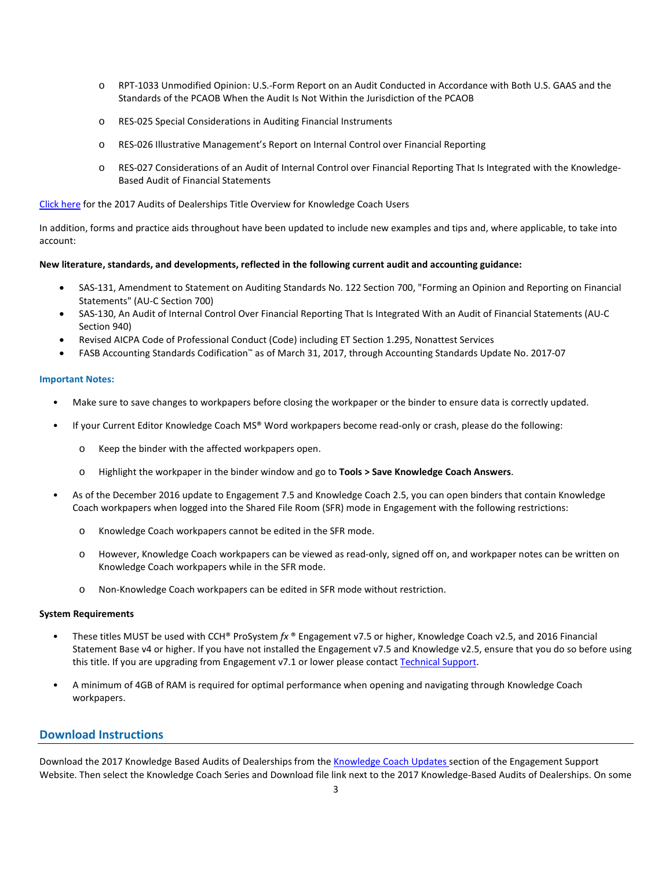- o RPT-1033 Unmodified Opinion: U.S.-Form Report on an Audit Conducted in Accordance with Both U.S. GAAS and the Standards of the PCAOB When the Audit Is Not Within the Jurisdiction of the PCAOB
- o RES-025 Special Considerations in Auditing Financial Instruments
- o RES-026 Illustrative Management's Report on Internal Control over Financial Reporting
- o RES-027 Considerations of an Audit of Internal Control over Financial Reporting That Is Integrated with the Knowledge-Based Audit of Financial Statements

[Click here](http://support.cch.com/updates/KnowledgeCoach/pdf/guides_tab/2017%20DLR%20Audit%20Title%20Overview%20for%20Knowledge%20Coach%20Users.pdf) for the 2017 Audits of Dealerships Title Overview for Knowledge Coach Users

In addition, forms and practice aids throughout have been updated to include new examples and tips and, where applicable, to take into account:

#### **New literature, standards, and developments, reflected in the following current audit and accounting guidance:**

- SAS-131, Amendment to Statement on Auditing Standards No. 122 Section 700, "Forming an Opinion and Reporting on Financial Statements" (AU-C Section 700)
- SAS-130, An Audit of Internal Control Over Financial Reporting That Is Integrated With an Audit of Financial Statements (AU-C Section 940)
- Revised AICPA Code of Professional Conduct (Code) including ET Section 1.295, Nonattest Services
- FASB Accounting Standards Codification™ as of March 31, 2017, through Accounting Standards Update No. 2017-07

#### **Important Notes:**

- Make sure to save changes to workpapers before closing the workpaper or the binder to ensure data is correctly updated.
- If your Current Editor Knowledge Coach MS® Word workpapers become read-only or crash, please do the following:
	- o Keep the binder with the affected workpapers open.
	- o Highlight the workpaper in the binder window and go to **Tools > Save Knowledge Coach Answers**.
- As of the December 2016 update to Engagement 7.5 and Knowledge Coach 2.5, you can open binders that contain Knowledge Coach workpapers when logged into the Shared File Room (SFR) mode in Engagement with the following restrictions:
	- o Knowledge Coach workpapers cannot be edited in the SFR mode.
	- o However, Knowledge Coach workpapers can be viewed as read-only, signed off on, and workpaper notes can be written on Knowledge Coach workpapers while in the SFR mode.
	- o Non-Knowledge Coach workpapers can be edited in SFR mode without restriction.

### **System Requirements**

- These titles MUST be used with CCH® ProSystem *fx* ® Engagement v7.5 or higher, Knowledge Coach v2.5, and 2016 Financial Statement Base v4 or higher. If you have not installed the Engagement v7.5 and Knowledge v2.5, ensure that you do so before using this title. If you are upgrading from Engagement v7.1 or lower please contact [Technical Support.](https://support.cch.com/contact)
- A minimum of 4GB of RAM is required for optimal performance when opening and navigating through Knowledge Coach workpapers.

## **Download Instructions**

Download the 2017 Knowledge Based Audits of Dealerships from the [Knowledge Coach Updates](http://support.cch.com/updates/KnowledgeCoach) section of the Engagement Support Website. Then select the Knowledge Coach Series and Download file link next to the 2017 Knowledge-Based Audits of Dealerships. On some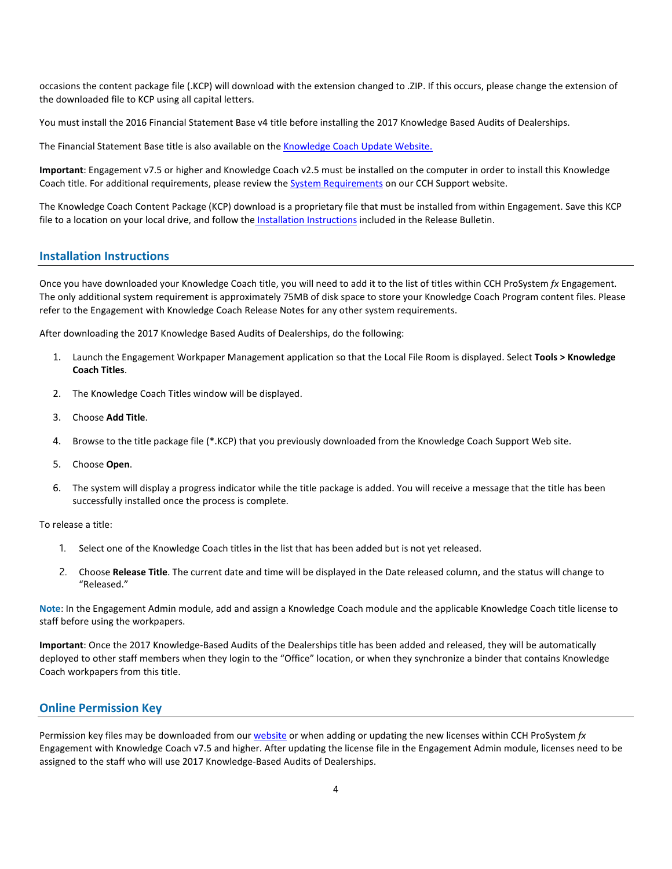occasions the content package file (.KCP) will download with the extension changed to .ZIP. If this occurs, please change the extension of the downloaded file to KCP using all capital letters.

You must install the 2016 Financial Statement Base v4 title before installing the 2017 Knowledge Based Audits of Dealerships.

The Financial Statement Base title is also available on th[e Knowledge Coach Update Website.](http://support.cch.com/updates/KnowledgeCoach)

**Important**: Engagement v7.5 or higher and Knowledge Coach v2.5 must be installed on the computer in order to install this Knowledge Coach title. For additional requirements, please review the **System Requirements** on our CCH Support website.

The Knowledge Coach Content Package (KCP) download is a proprietary file that must be installed from within Engagement. Save this KCP file to a location on your local drive, and follow the Installation Instructions included in the Release Bulletin.

## **Installation Instructions**

Once you have downloaded your Knowledge Coach title, you will need to add it to the list of titles within CCH ProSystem *fx* Engagement. The only additional system requirement is approximately 75MB of disk space to store your Knowledge Coach Program content files. Please refer to the Engagement with Knowledge Coach Release Notes for any other system requirements.

After downloading the 2017 Knowledge Based Audits of Dealerships, do the following:

- 1. Launch the Engagement Workpaper Management application so that the Local File Room is displayed. Select **Tools > Knowledge Coach Titles**.
- 2. The Knowledge Coach Titles window will be displayed.
- 3. Choose **Add Title**.
- 4. Browse to the title package file (\*.KCP) that you previously downloaded from the Knowledge Coach Support Web site.
- 5. Choose **Open**.
- 6. The system will display a progress indicator while the title package is added. You will receive a message that the title has been successfully installed once the process is complete.

To release a title:

- 1. Select one of the Knowledge Coach titles in the list that has been added but is not yet released.
- 2. Choose **Release Title**. The current date and time will be displayed in the Date released column, and the status will change to "Released."

**Note**: In the Engagement Admin module, add and assign a Knowledge Coach module and the applicable Knowledge Coach title license to staff before using the workpapers.

**Important**: Once the 2017 Knowledge-Based Audits of the Dealerships title has been added and released, they will be automatically deployed to other staff members when they login to the "Office" location, or when they synchronize a binder that contains Knowledge Coach workpapers from this title.

# **Online Permission Key**

Permission key files may be downloaded from ou[r website](https://prosystemfxsupport.tax.cchgroup.com/permkey/download.aspx) or when adding or updating the new licenses within CCH ProSystem *fx* Engagement with Knowledge Coach v7.5 and higher. After updating the license file in the Engagement Admin module, licenses need to be assigned to the staff who will use 2017 Knowledge-Based Audits of Dealerships.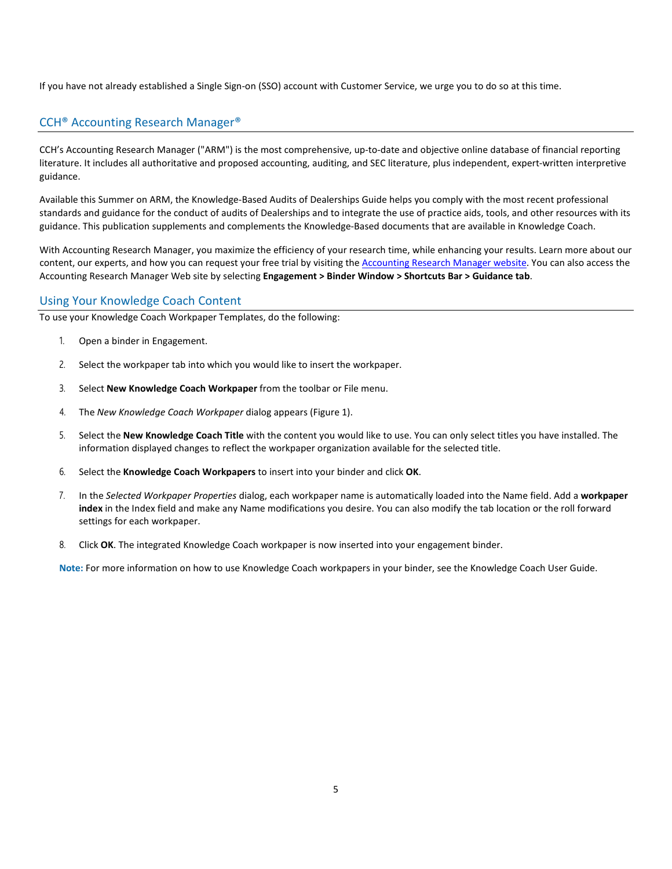If you have not already established a Single Sign-on (SSO) account with Customer Service, we urge you to do so at this time.

# CCH® Accounting Research Manager®

CCH's Accounting Research Manager ("ARM") is the most comprehensive, up-to-date and objective online database of financial reporting literature. It includes all authoritative and proposed accounting, auditing, and SEC literature, plus independent, expert-written interpretive guidance.

Available this Summer on ARM, the Knowledge-Based Audits of Dealerships Guide helps you comply with the most recent professional standards and guidance for the conduct of audits of Dealerships and to integrate the use of practice aids, tools, and other resources with its guidance. This publication supplements and complements the Knowledge-Based documents that are available in Knowledge Coach.

With Accounting Research Manager, you maximize the efficiency of your research time, while enhancing your results. Learn more about our content, our experts, and how you can request your free trial by visiting the [Accounting Research Manager website.](http://www.accountingresearchmanager.com/) You can also access the Accounting Research Manager Web site by selecting **Engagement > Binder Window > Shortcuts Bar > Guidance tab**.

## Using Your Knowledge Coach Content

To use your Knowledge Coach Workpaper Templates, do the following:

- 1. Open a binder in Engagement.
- 2. Select the workpaper tab into which you would like to insert the workpaper.
- 3. Select **New Knowledge Coach Workpaper** from the toolbar or File menu.
- 4. The *New Knowledge Coach Workpaper* dialog appears (Figure 1).
- 5. Select the **New Knowledge Coach Title** with the content you would like to use. You can only select titles you have installed. The information displayed changes to reflect the workpaper organization available for the selected title.
- 6. Select the **Knowledge Coach Workpapers** to insert into your binder and click **OK**.
- 7. In the *Selected Workpaper Properties* dialog, each workpaper name is automatically loaded into the Name field. Add a **workpaper index** in the Index field and make any Name modifications you desire. You can also modify the tab location or the roll forward settings for each workpaper.
- 8. Click **OK**. The integrated Knowledge Coach workpaper is now inserted into your engagement binder.

**Note:** For more information on how to use Knowledge Coach workpapers in your binder, see the Knowledge Coach User Guide.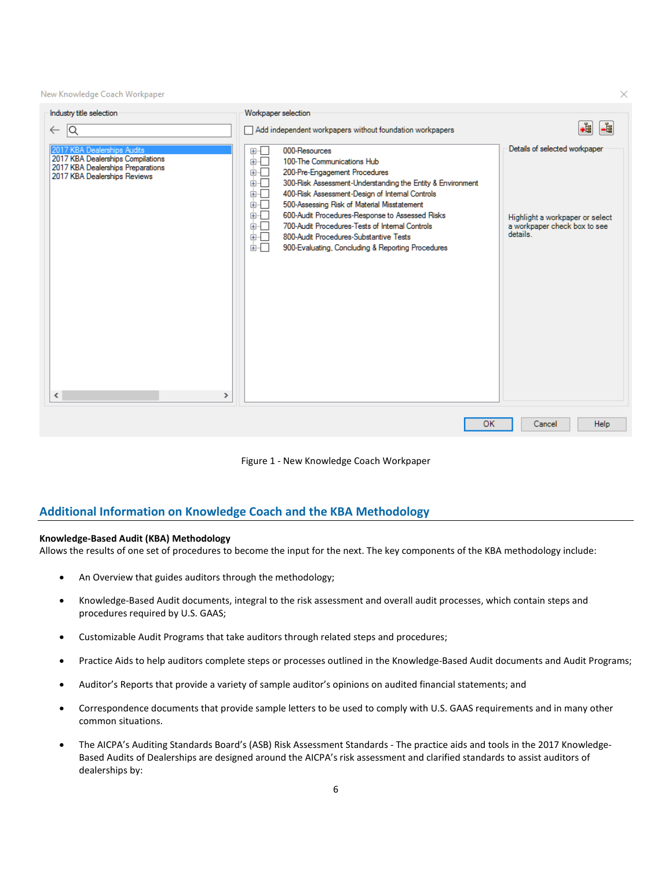New Knowledge Coach Workpaper

| Industry title selection                                                                                                                                            | Workpaper selection                                                                                                                                                                                                                                                                                                                                                                                                                                                                                              |                                                                                                              |
|---------------------------------------------------------------------------------------------------------------------------------------------------------------------|------------------------------------------------------------------------------------------------------------------------------------------------------------------------------------------------------------------------------------------------------------------------------------------------------------------------------------------------------------------------------------------------------------------------------------------------------------------------------------------------------------------|--------------------------------------------------------------------------------------------------------------|
| 1Q<br>$\leftarrow$                                                                                                                                                  | Add independent workpapers without foundation workpapers                                                                                                                                                                                                                                                                                                                                                                                                                                                         | -6<br>+9                                                                                                     |
| 2017 KBA Dealerships Audits<br>2017 KBA Dealerships Compilations<br>2017 KBA Dealerships Preparations<br>2017 KBA Dealerships Reviews<br>$\,$ $\,$<br>$\rightarrow$ | 000-Resources<br>⊞ை∟<br>∔ō<br>100-The Communications Hub<br>Ė⊦⊑<br>200-Pre-Engagement Procedures<br>300-Risk Assessment-Understanding the Entity & Environment<br>画「<br>面近<br>400-Risk Assessment-Design of Internal Controls<br>画「<br>500-Assessing Risk of Material Misstatement<br>面。<br>600-Audit Procedures-Response to Assessed Risks<br>面示<br>700-Audit Procedures-Tests of Internal Controls<br>面一<br>800-Audit Procedures-Substantive Tests<br>面切口<br>900-Evaluating, Concluding & Reporting Procedures | Details of selected workpaper<br>Highlight a workpaper or select<br>a workpaper check box to see<br>details. |
|                                                                                                                                                                     | <b>OK</b>                                                                                                                                                                                                                                                                                                                                                                                                                                                                                                        | Help<br>Cancel                                                                                               |



## **Additional Information on Knowledge Coach and the KBA Methodology**

#### **Knowledge-Based Audit (KBA) Methodology**

Allows the results of one set of procedures to become the input for the next. The key components of the KBA methodology include:

- An Overview that guides auditors through the methodology;
- Knowledge-Based Audit documents, integral to the risk assessment and overall audit processes, which contain steps and procedures required by U.S. GAAS;
- Customizable Audit Programs that take auditors through related steps and procedures;
- Practice Aids to help auditors complete steps or processes outlined in the Knowledge-Based Audit documents and Audit Programs;
- Auditor's Reports that provide a variety of sample auditor's opinions on audited financial statements; and
- Correspondence documents that provide sample letters to be used to comply with U.S. GAAS requirements and in many other common situations.
- The AICPA's Auditing Standards Board's (ASB) Risk Assessment Standards The practice aids and tools in the 2017 Knowledge-Based Audits of Dealerships are designed around the AICPA's risk assessment and clarified standards to assist auditors of dealerships by:

×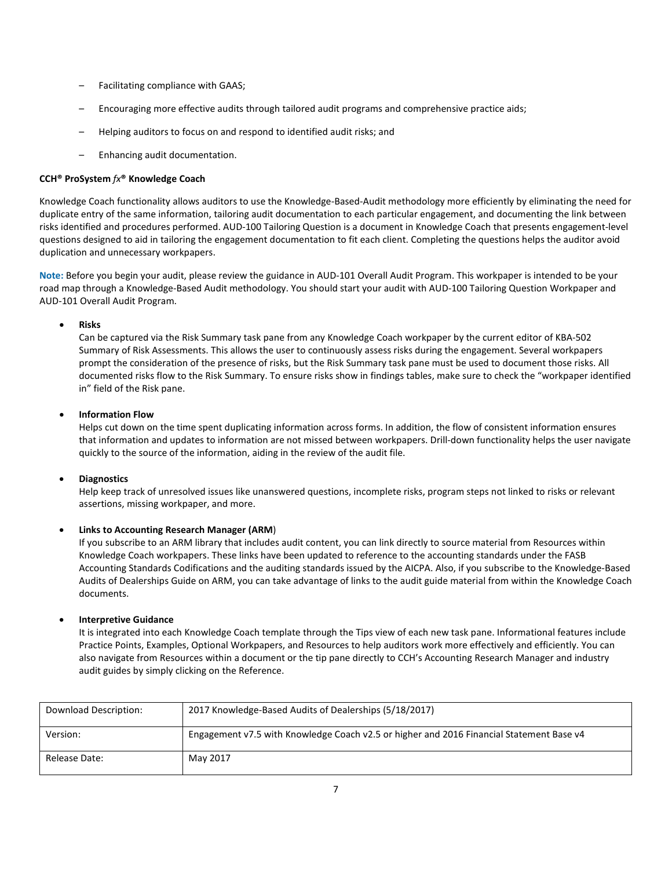- Facilitating compliance with GAAS;
- Encouraging more effective audits through tailored audit programs and comprehensive practice aids;
- Helping auditors to focus on and respond to identified audit risks; and
- Enhancing audit documentation.

## **CCH® ProSystem** *fx***® Knowledge Coach**

Knowledge Coach functionality allows auditors to use the Knowledge-Based-Audit methodology more efficiently by eliminating the need for duplicate entry of the same information, tailoring audit documentation to each particular engagement, and documenting the link between risks identified and procedures performed. AUD-100 Tailoring Question is a document in Knowledge Coach that presents engagement-level questions designed to aid in tailoring the engagement documentation to fit each client. Completing the questions helps the auditor avoid duplication and unnecessary workpapers.

**Note:** Before you begin your audit, please review the guidance in AUD-101 Overall Audit Program. This workpaper is intended to be your road map through a Knowledge-Based Audit methodology. You should start your audit with AUD-100 Tailoring Question Workpaper and AUD-101 Overall Audit Program.

## • **Risks**

Can be captured via the Risk Summary task pane from any Knowledge Coach workpaper by the current editor of KBA-502 Summary of Risk Assessments. This allows the user to continuously assess risks during the engagement. Several workpapers prompt the consideration of the presence of risks, but the Risk Summary task pane must be used to document those risks. All documented risks flow to the Risk Summary. To ensure risks show in findings tables, make sure to check the "workpaper identified in" field of the Risk pane.

## • **Information Flow**

Helps cut down on the time spent duplicating information across forms. In addition, the flow of consistent information ensures that information and updates to information are not missed between workpapers. Drill-down functionality helps the user navigate quickly to the source of the information, aiding in the review of the audit file.

## • **Diagnostics**

Help keep track of unresolved issues like unanswered questions, incomplete risks, program steps not linked to risks or relevant assertions, missing workpaper, and more.

# • **Links to Accounting Research Manager (ARM**)

If you subscribe to an ARM library that includes audit content, you can link directly to source material from Resources within Knowledge Coach workpapers. These links have been updated to reference to the accounting standards under the FASB Accounting Standards Codifications and the auditing standards issued by the AICPA. Also, if you subscribe to the Knowledge-Based Audits of Dealerships Guide on ARM, you can take advantage of links to the audit guide material from within the Knowledge Coach documents.

# • **Interpretive Guidance**

It is integrated into each Knowledge Coach template through the Tips view of each new task pane. Informational features include Practice Points, Examples, Optional Workpapers, and Resources to help auditors work more effectively and efficiently. You can also navigate from Resources within a document or the tip pane directly to CCH's Accounting Research Manager and industry audit guides by simply clicking on the Reference.

| Download Description: | 2017 Knowledge-Based Audits of Dealerships (5/18/2017)                                   |
|-----------------------|------------------------------------------------------------------------------------------|
| Version:              | Engagement v7.5 with Knowledge Coach v2.5 or higher and 2016 Financial Statement Base v4 |
| Release Date:         | May 2017                                                                                 |